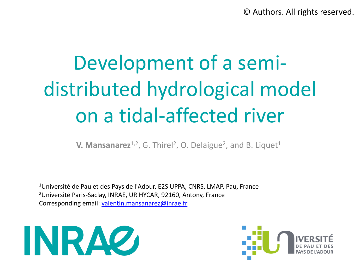© Authors. All rights reserved.

# Development of a semidistributed hydrological model on a tidal-affected river

**V. Mansanarez**<sup>1,2</sup>, G. Thirel<sup>2</sup>, O. Delaigue<sup>2</sup>, and B. Liquet<sup>1</sup>

<sup>1</sup>Université de Pau et des Pays de l'Adour, E2S UPPA, CNRS, LMAP, Pau, France <sup>2</sup>Université Paris-Saclay, INRAE, UR HYCAR, 92160, Antony, France Corresponding email: [valentin.mansanarez@inrae.fr](mailto:valentin.mansanarez@inrae.fr)



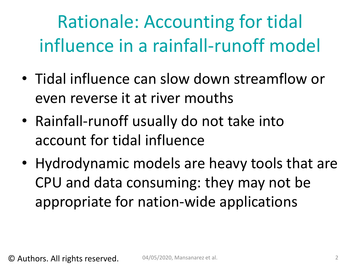Rationale: Accounting for tidal influence in a rainfall-runoff model

- Tidal influence can slow down streamflow or even reverse it at river mouths
- Rainfall-runoff usually do not take into account for tidal influence
- Hydrodynamic models are heavy tools that are CPU and data consuming: they may not be appropriate for nation-wide applications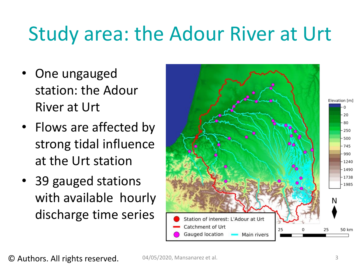#### Study area: the Adour River at Urt

- One ungauged station: the Adour River at Urt
- Flows are affected by strong tidal influence at the Urt station
- 39 gauged stations with available hourly discharge time series

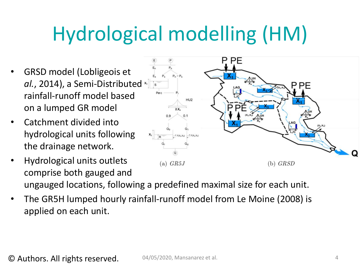## Hydrological modelling (HM)

- GRSD model (Lobligeois et *al.*, 2014), a Semi-Distributed x rainfall-runoff model based on a lumped GR model
- Catchment divided into hydrological units following the drainage network.
- Hydrological units outlets (a)  $GR5J$  $(b)$  GRSD comprise both gauged and ungauged locations, following a predefined maximal size for each unit.
- The GR5H lumped hourly rainfall-runoff model from Le Moine (2008) is applied on each unit.

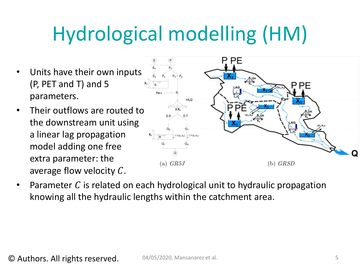## Hydrological modelling (HM)

- Units have their own inputs (P, PET and T) and 5 parameters.
- Their outflows are routed to the downstream unit using a linear lag propagation model adding one free extra parameter: the average flow velocity  $C$ .



Parameter  $C$  is related on each hydrological unit to hydraulic propagation knowing all the hydraulic lengths within the catchment area.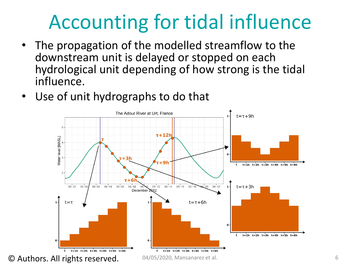## Accounting for tidal influence

- The propagation of the modelled streamflow to the downstream unit is delayed or stopped on each hydrological unit depending of how strong is the tidal influence.
- Use of unit hydrographs to do that

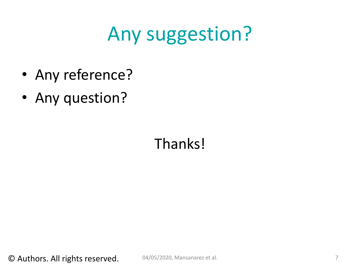## Any suggestion?

- Any reference?
- Any question?

#### Thanks!